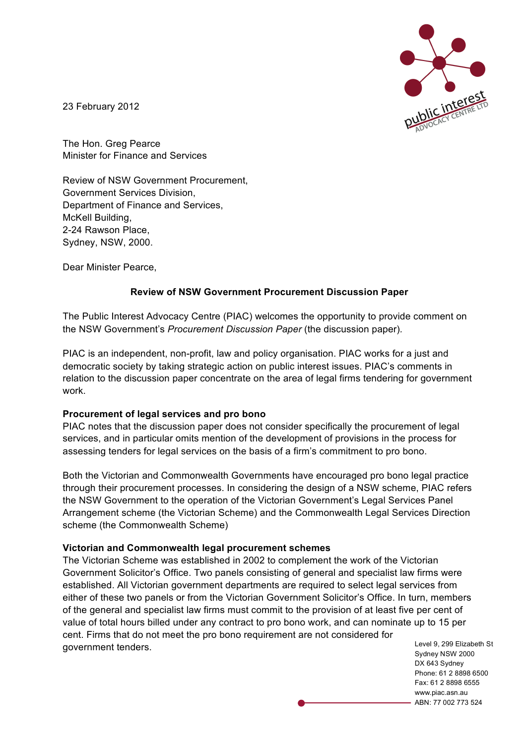

23 February 2012

The Hon. Greg Pearce Minister for Finance and Services

Review of NSW Government Procurement, Government Services Division, Department of Finance and Services, McKell Building, 2-24 Rawson Place, Sydney, NSW, 2000.

Dear Minister Pearce,

## **Review of NSW Government Procurement Discussion Paper**

The Public Interest Advocacy Centre (PIAC) welcomes the opportunity to provide comment on the NSW Government's *Procurement Discussion Paper* (the discussion paper)*.* 

PIAC is an independent, non-profit, law and policy organisation. PIAC works for a just and democratic society by taking strategic action on public interest issues. PIAC's comments in relation to the discussion paper concentrate on the area of legal firms tendering for government work.

## **Procurement of legal services and pro bono**

PIAC notes that the discussion paper does not consider specifically the procurement of legal services, and in particular omits mention of the development of provisions in the process for assessing tenders for legal services on the basis of a firm's commitment to pro bono.

Both the Victorian and Commonwealth Governments have encouraged pro bono legal practice through their procurement processes. In considering the design of a NSW scheme, PIAC refers the NSW Government to the operation of the Victorian Government's Legal Services Panel Arrangement scheme (the Victorian Scheme) and the Commonwealth Legal Services Direction scheme (the Commonwealth Scheme)

## **Victorian and Commonwealth legal procurement schemes**

The Victorian Scheme was established in 2002 to complement the work of the Victorian Government Solicitor's Office. Two panels consisting of general and specialist law firms were established. All Victorian government departments are required to select legal services from either of these two panels or from the Victorian Government Solicitor's Office. In turn, members of the general and specialist law firms must commit to the provision of at least five per cent of value of total hours billed under any contract to pro bono work, and can nominate up to 15 per cent. Firms that do not meet the pro bono requirement are not considered for government tenders.

Level 9, 299 Elizabeth St Sydney NSW 2000 DX 643 Sydney Phone: 61 2 8898 6500 Fax: 61 2 8898 6555 www.piac.asn.au ABN: 77 002 773 524